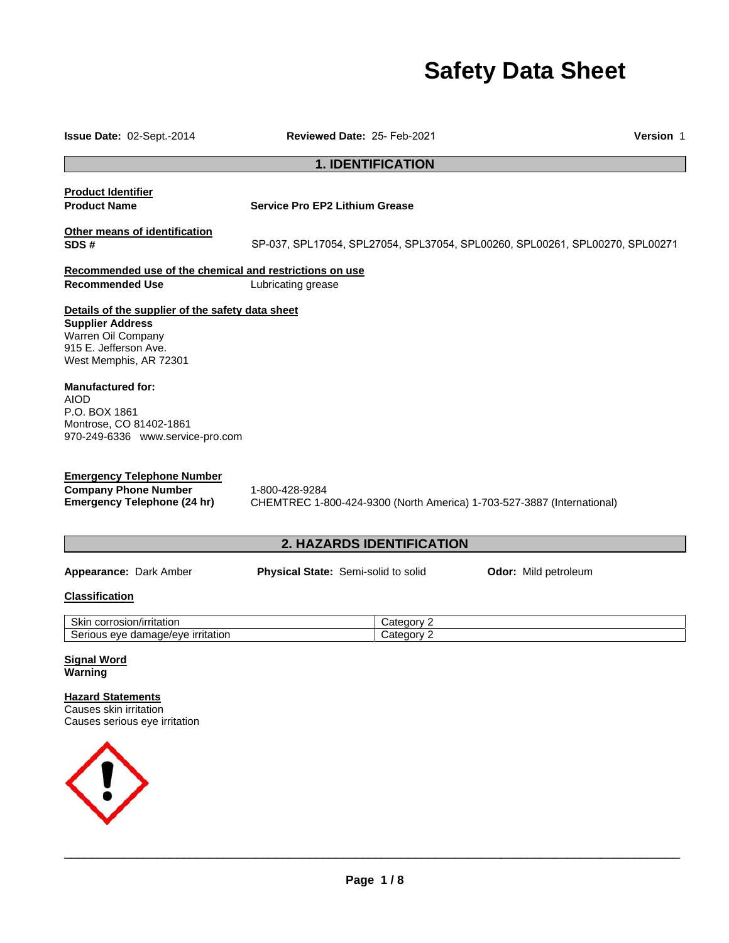# **Safety Data Sheet**

| <b>Issue Date: 02-Sept.-2014</b>                                                                                                                                                                                                                                                | Reviewed Date: 25- Feb-2021           |                                  | Version 1                                                                    |
|---------------------------------------------------------------------------------------------------------------------------------------------------------------------------------------------------------------------------------------------------------------------------------|---------------------------------------|----------------------------------|------------------------------------------------------------------------------|
|                                                                                                                                                                                                                                                                                 |                                       | <b>1. IDENTIFICATION</b>         |                                                                              |
| <b>Product Identifier</b><br><b>Product Name</b>                                                                                                                                                                                                                                | <b>Service Pro EP2 Lithium Grease</b> |                                  |                                                                              |
| Other means of identification<br>SDS#                                                                                                                                                                                                                                           |                                       |                                  | SP-037, SPL17054, SPL27054, SPL37054, SPL00260, SPL00261, SPL00270, SPL00271 |
| Recommended use of the chemical and restrictions on use<br><b>Recommended Use</b>                                                                                                                                                                                               | Lubricating grease                    |                                  |                                                                              |
| Details of the supplier of the safety data sheet<br><b>Supplier Address</b><br>Warren Oil Company<br>915 E. Jefferson Ave.<br>West Memphis, AR 72301<br><b>Manufactured for:</b><br><b>AIOD</b><br>P.O. BOX 1861<br>Montrose, CO 81402-1861<br>970-249-6336 www.service-pro.com |                                       |                                  |                                                                              |
| <b>Emergency Telephone Number</b><br><b>Company Phone Number</b><br><b>Emergency Telephone (24 hr)</b>                                                                                                                                                                          | 1-800-428-9284                        |                                  | CHEMTREC 1-800-424-9300 (North America) 1-703-527-3887 (International)       |
|                                                                                                                                                                                                                                                                                 |                                       | <b>2. HAZARDS IDENTIFICATION</b> |                                                                              |
| Appearance: Dark Amber<br><b>Classification</b>                                                                                                                                                                                                                                 | Physical State: Semi-solid to solid   |                                  | Odor: Mild petroleum                                                         |
| Skin corrosion/irritation<br>Serious eye damage/eye irritation                                                                                                                                                                                                                  |                                       | Category 2<br>Category 2         |                                                                              |

**Signal Word Warning** 

**Hazard Statements** Causes skin irritation Causes serious eye irritation

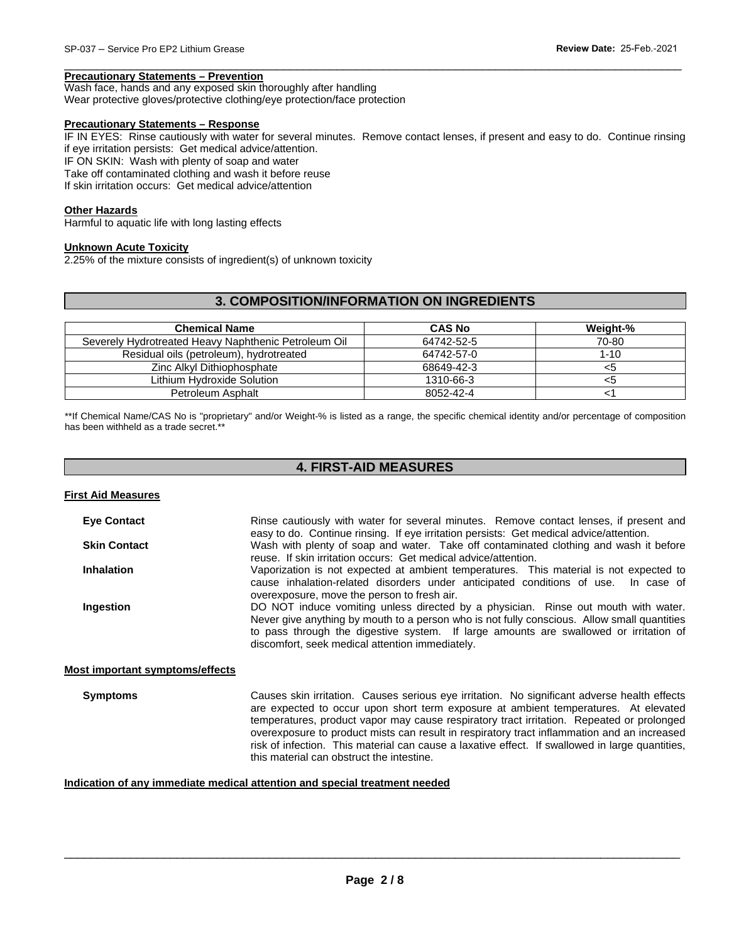# **Precautionary Statements – Prevention**

Wash face, hands and any exposed skin thoroughly after handling Wear protective gloves/protective clothing/eye protection/face protection

#### **Precautionary Statements – Response**

IF IN EYES: Rinse cautiously with water for several minutes. Remove contact lenses, if present and easy to do. Continue rinsing if eye irritation persists: Get medical advice/attention.

 $\Box$ 

IF ON SKIN: Wash with plenty of soap and water

Take off contaminated clothing and wash it before reuse

If skin irritation occurs: Get medical advice/attention

#### **Other Hazards**

Harmful to aquatic life with long lasting effects

#### **Unknown Acute Toxicity**

2.25% of the mixture consists of ingredient(s) of unknown toxicity

### **3. COMPOSITION/INFORMATION ON INGREDIENTS**

| <b>Chemical Name</b>                                 | <b>CAS No</b> | Weight-% |
|------------------------------------------------------|---------------|----------|
| Severely Hydrotreated Heavy Naphthenic Petroleum Oil | 64742-52-5    | 70-80    |
| Residual oils (petroleum), hydrotreated              | 64742-57-0    | $1 - 10$ |
| Zinc Alkyl Dithiophosphate                           | 68649-42-3    | <5       |
| Lithium Hvdroxide Solution                           | 1310-66-3     | <5       |
| Petroleum Asphalt                                    | 8052-42-4     |          |

\*\*If Chemical Name/CAS No is "proprietary" and/or Weight-% is listed as a range, the specific chemical identity and/or percentage of composition has been withheld as a trade secret.\*\*

# **4. FIRST-AID MEASURES**

|  | <b>First Aid Measures</b> |
|--|---------------------------|
|  |                           |

| <b>Eve Contact</b>              | Rinse cautiously with water for several minutes. Remove contact lenses, if present and<br>easy to do. Continue rinsing. If eye irritation persists: Get medical advice/attention.                                                                                                                                                                                                                                                                                                  |
|---------------------------------|------------------------------------------------------------------------------------------------------------------------------------------------------------------------------------------------------------------------------------------------------------------------------------------------------------------------------------------------------------------------------------------------------------------------------------------------------------------------------------|
| <b>Skin Contact</b>             | Wash with plenty of soap and water. Take off contaminated clothing and wash it before<br>reuse. If skin irritation occurs: Get medical advice/attention.                                                                                                                                                                                                                                                                                                                           |
| <b>Inhalation</b>               | Vaporization is not expected at ambient temperatures. This material is not expected to<br>cause inhalation-related disorders under anticipated conditions of use.<br>In case of<br>overexposure, move the person to fresh air.                                                                                                                                                                                                                                                     |
| Ingestion                       | DO NOT induce vomiting unless directed by a physician. Rinse out mouth with water.<br>Never give anything by mouth to a person who is not fully conscious. Allow small quantities<br>to pass through the digestive system. If large amounts are swallowed or irritation of<br>discomfort, seek medical attention immediately.                                                                                                                                                      |
| Most important symptoms/effects |                                                                                                                                                                                                                                                                                                                                                                                                                                                                                    |
| <b>Symptoms</b>                 | Causes skin irritation. Causes serious eye irritation. No significant adverse health effects<br>are expected to occur upon short term exposure at ambient temperatures. At elevated<br>temperatures, product vapor may cause respiratory tract irritation. Repeated or prolonged<br>overexposure to product mists can result in respiratory tract inflammation and an increased<br>risk of infection. This material can cause a laxative effect. If swallowed in large quantities, |

#### **Indication of any immediate medical attention and special treatment needed**

\_\_\_\_\_\_\_\_\_\_\_\_\_\_\_\_\_\_\_\_\_\_\_\_\_\_\_\_\_\_\_\_\_\_\_\_\_\_\_\_\_\_\_\_\_\_\_\_\_\_\_\_\_\_\_\_\_\_\_\_\_\_\_\_\_\_\_\_\_\_\_\_\_\_\_\_\_\_\_\_\_\_\_\_\_\_\_\_\_\_\_\_\_

this material can obstruct the intestine.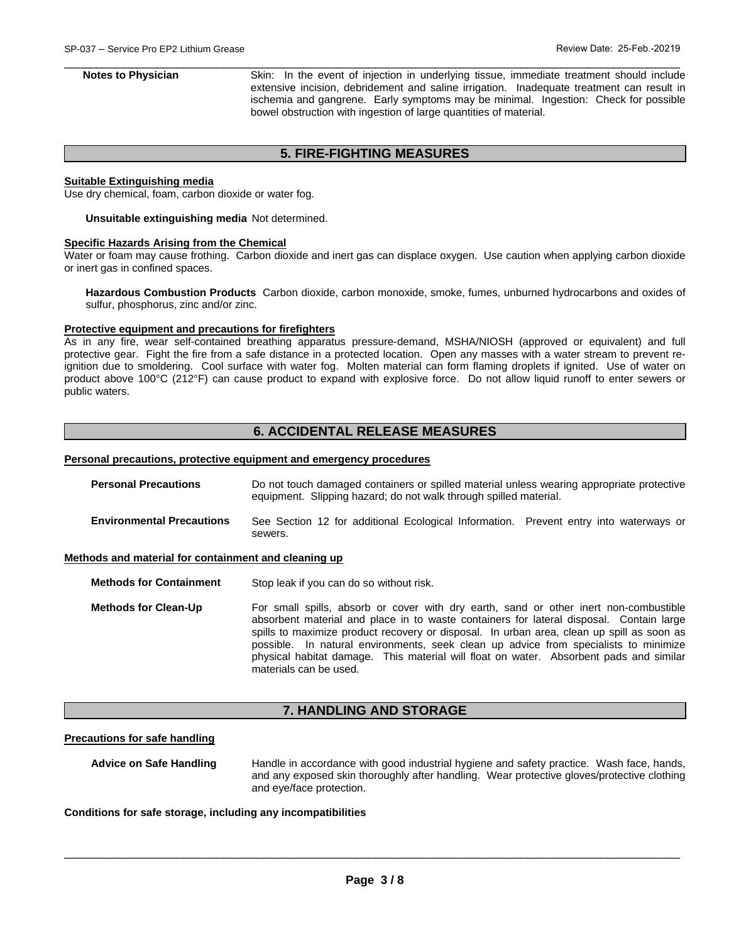$\Box$ Notes to Physician **Skin:** In the event of injection in underlying tissue, immediate treatment should include extensive incision, debridement and saline irrigation. Inadequate treatment can result in ischemia and gangrene. Early symptoms may be minimal. Ingestion: Check for possible bowel obstruction with ingestion of large quantities of material.

### **5. FIRE-FIGHTING MEASURES**

#### **Suitable Extinguishing media**

Use dry chemical, foam, carbon dioxide or water fog.

**Unsuitable extinguishing media** Not determined.

#### **Specific Hazards Arising from the Chemical**

Water or foam may cause frothing. Carbon dioxide and inert gas can displace oxygen. Use caution when applying carbon dioxide or inert gas in confined spaces.

**Hazardous Combustion Products** Carbon dioxide, carbon monoxide, smoke, fumes, unburned hydrocarbons and oxides of sulfur, phosphorus, zinc and/or zinc.

#### **Protective equipment and precautions for firefighters**

As in any fire, wear self-contained breathing apparatus pressure-demand, MSHA/NIOSH (approved or equivalent) and full protective gear. Fight the fire from a safe distance in a protected location. Open any masses with a water stream to prevent reignition due to smoldering. Cool surface with water fog. Molten material can form flaming droplets if ignited. Use of water on product above 100°C (212°F) can cause product to expand with explosive force. Do not allow liquid runoff to enter sewers or public waters.

## **6. ACCIDENTAL RELEASE MEASURES**

#### **Personal precautions, protective equipment and emergency procedures**

**Personal Precautions** Do not touch damaged containers or spilled material unless wearing appropriate protective equipment. Slipping hazard; do not walk through spilled material.

**Environmental Precautions** See Section 12 for additional Ecological Information. Prevent entry into waterways or sewers.

#### **Methods and material for containment and cleaning up**

**Methods for Containment** Stop leak if you can do so without risk.

**Methods for Clean-Up** For small spills, absorb or cover with dry earth, sand or other inert non-combustible absorbent material and place in to waste containers for lateral disposal. Contain large spills to maximize product recovery or disposal. In urban area, clean up spill as soon as possible. In natural environments, seek clean up advice from specialists to minimize physical habitat damage. This material will float on water. Absorbent pads and similar materials can be used.

# **7. HANDLING AND STORAGE**

#### **Precautions for safe handling**

**Advice on Safe Handling** Handle in accordance with good industrial hygiene and safety practice. Wash face, hands, and any exposed skin thoroughly after handling. Wear protective gloves/protective clothing and eye/face protection.

#### **Conditions for safe storage, including any incompatibilities**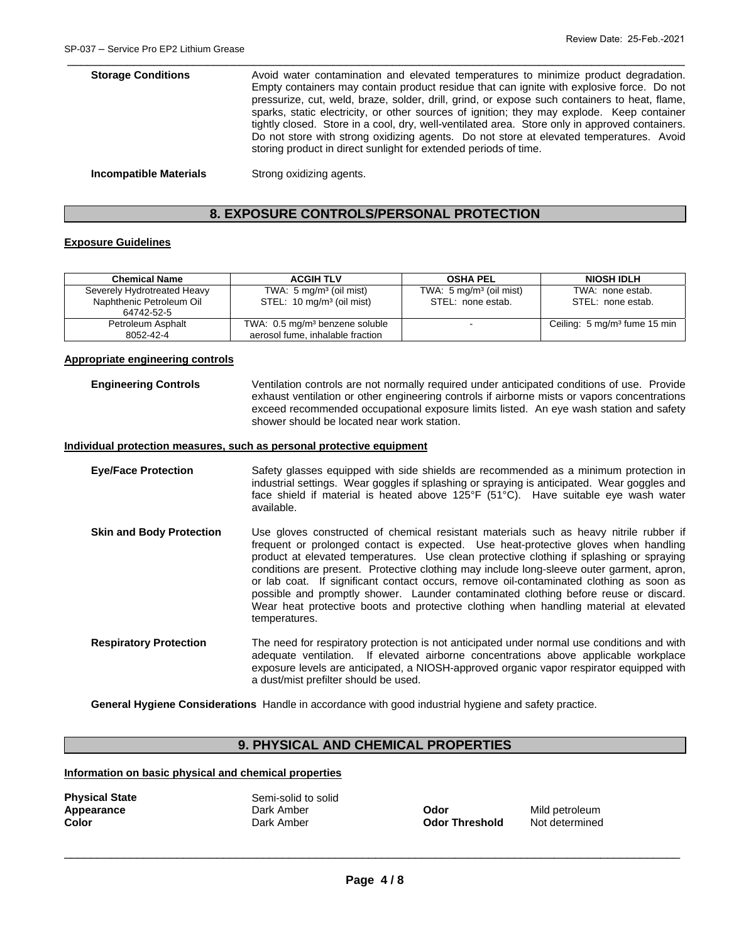| <b>Storage Conditions</b>     | Avoid water contamination and elevated temperatures to minimize product degradation.<br>Empty containers may contain product residue that can ignite with explosive force. Do not<br>pressurize, cut, weld, braze, solder, drill, grind, or expose such containers to heat, flame,<br>sparks, static electricity, or other sources of ignition; they may explode. Keep container<br>tightly closed. Store in a cool, dry, well-ventilated area. Store only in approved containers.<br>Do not store with strong oxidizing agents. Do not store at elevated temperatures. Avoid<br>storing product in direct sunlight for extended periods of time. |
|-------------------------------|---------------------------------------------------------------------------------------------------------------------------------------------------------------------------------------------------------------------------------------------------------------------------------------------------------------------------------------------------------------------------------------------------------------------------------------------------------------------------------------------------------------------------------------------------------------------------------------------------------------------------------------------------|
| <b>Incompatible Materials</b> | Strong oxidizing agents.                                                                                                                                                                                                                                                                                                                                                                                                                                                                                                                                                                                                                          |

# **8. EXPOSURE CONTROLS/PERSONAL PROTECTION**

#### **Exposure Guidelines**

| <b>Chemical Name</b>        | <b>ACGIH TLV</b>                           | <b>OSHA PEL</b>                    | <b>NIOSH IDLH</b>                       |
|-----------------------------|--------------------------------------------|------------------------------------|-----------------------------------------|
| Severely Hydrotreated Heavy | TWA: $5 \text{ mg/m}^3$ (oil mist)         | TWA: $5 \text{ mg/m}^3$ (oil mist) | TWA: none estab.                        |
| Naphthenic Petroleum Oil    | STEL: 10 mg/m <sup>3</sup> (oil mist)      | STEL: none estab.                  | STEL: none estab.                       |
| 64742-52-5                  |                                            |                                    |                                         |
| Petroleum Asphalt           | TWA: 0.5 mg/m <sup>3</sup> benzene soluble |                                    | Ceiling: $5 \text{ mg/m}^3$ fume 15 min |
| 8052-42-4                   | aerosol fume, inhalable fraction           |                                    |                                         |

#### **Appropriate engineering controls**

**Engineering Controls** Ventilation controls are not normally required under anticipated conditions of use. Provide exhaust ventilation or other engineering controls if airborne mists or vapors concentrations exceed recommended occupational exposure limits listed. An eye wash station and safety shower should be located near work station.

#### **Individual protection measures, such as personal protective equipment**

**Eye/Face Protection** Safety glasses equipped with side shields are recommended as a minimum protection in industrial settings. Wear goggles if splashing or spraying is anticipated. Wear goggles and face shield if material is heated above 125°F (51°C). Have suitable eye wash water available. **Skin and Body Protection** Use gloves constructed of chemical resistant materials such as heavy nitrile rubber if frequent or prolonged contact is expected. Use heat-protective gloves when handling product at elevated temperatures. Use clean protective clothing if splashing or spraying conditions are present. Protective clothing may include long-sleeve outer garment, apron, or lab coat. If significant contact occurs, remove oil-contaminated clothing as soon as possible and promptly shower. Launder contaminated clothing before reuse or discard. Wear heat protective boots and protective clothing when handling material at elevated temperatures. **Respiratory Protection** The need for respiratory protection is not anticipated under normal use conditions and with adequate ventilation. If elevated airborne concentrations above applicable workplace exposure levels are anticipated, a NIOSH-approved organic vapor respirator equipped with a dust/mist prefilter should be used.

**General Hygiene Considerations** Handle in accordance with good industrial hygiene and safety practice.

# **9. PHYSICAL AND CHEMICAL PROPERTIES**

#### **Information on basic physical and chemical properties**

**Physical State Semi-solid to solid Appearance** Dark Amber **Odor** Mild petroleum **Color** Dark Amber **Odor Threshold** Not determined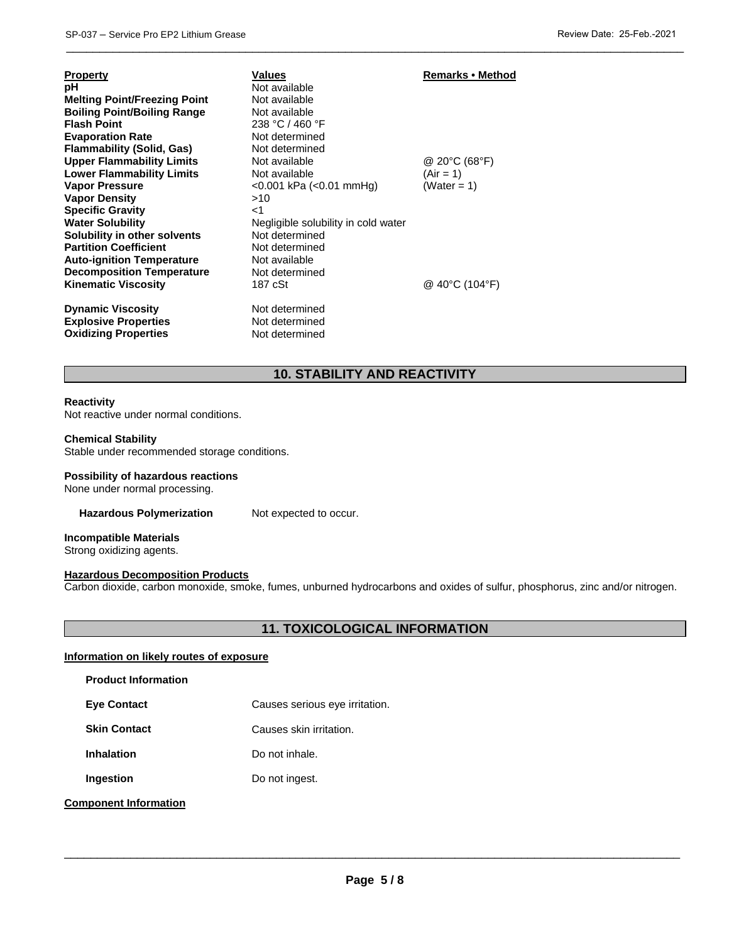| <b>Property</b><br>рH<br><b>Melting Point/Freezing Point</b><br><b>Boiling Point/Boiling Range</b> | Values<br>Not available<br>Not available<br>Not available | Remarks • Method                  |
|----------------------------------------------------------------------------------------------------|-----------------------------------------------------------|-----------------------------------|
| <b>Flash Point</b>                                                                                 | 238 °C / 460 °F                                           |                                   |
| <b>Evaporation Rate</b>                                                                            | Not determined                                            |                                   |
| <b>Flammability (Solid, Gas)</b>                                                                   | Not determined                                            |                                   |
| <b>Upper Flammability Limits</b>                                                                   | Not available                                             | @ 20 $\degree$ C (68 $\degree$ F) |
| <b>Lower Flammability Limits</b>                                                                   | Not available                                             | $(Air = 1)$                       |
| <b>Vapor Pressure</b>                                                                              | <0.001 kPa (<0.01 mmHg)                                   | (Water = 1)                       |
| <b>Vapor Density</b>                                                                               | >10                                                       |                                   |
| <b>Specific Gravity</b>                                                                            | ا>                                                        |                                   |
| <b>Water Solubility</b>                                                                            | Negligible solubility in cold water                       |                                   |
| Solubility in other solvents                                                                       | Not determined                                            |                                   |
| <b>Partition Coefficient</b>                                                                       | Not determined                                            |                                   |
| <b>Auto-ignition Temperature</b>                                                                   | Not available                                             |                                   |
| <b>Decomposition Temperature</b>                                                                   | Not determined                                            |                                   |
| <b>Kinematic Viscosity</b>                                                                         | 187 cSt                                                   | @ 40°C (104°F)                    |
| <b>Dynamic Viscosity</b>                                                                           | Not determined                                            |                                   |
| <b>Explosive Properties</b>                                                                        | Not determined                                            |                                   |
| <b>Oxidizing Properties</b>                                                                        | Not determined                                            |                                   |

# **10. STABILITY AND REACTIVITY**

\_\_\_\_\_\_\_\_\_\_\_\_\_\_\_\_\_\_\_\_\_\_\_\_\_\_\_\_\_\_\_\_\_\_\_\_\_\_\_\_\_\_\_\_\_\_\_\_\_\_\_\_\_\_\_\_\_\_\_\_\_\_\_\_\_\_\_\_\_\_\_\_\_\_\_\_\_\_\_\_\_\_\_\_\_\_\_\_\_\_\_\_\_

#### **Reactivity**

Not reactive under normal conditions.

#### **Chemical Stability**

Stable under recommended storage conditions.

# **Possibility of hazardous reactions**

None under normal processing.

#### Hazardous Polymerization Not expected to occur.

**Incompatible Materials**  Strong oxidizing agents.

#### **Hazardous Decomposition Products**

Carbon dioxide, carbon monoxide, smoke, fumes, unburned hydrocarbons and oxides of sulfur, phosphorus, zinc and/or nitrogen.

# **11. TOXICOLOGICAL INFORMATION**

#### **Information on likely routes of exposure**

|  | <b>Product Information</b> |
|--|----------------------------|
|--|----------------------------|

**Skin Contact Causes skin irritation.** 

**Inhalation Do not inhale.** 

**Ingestion Do not ingest.** 

#### **Component Information**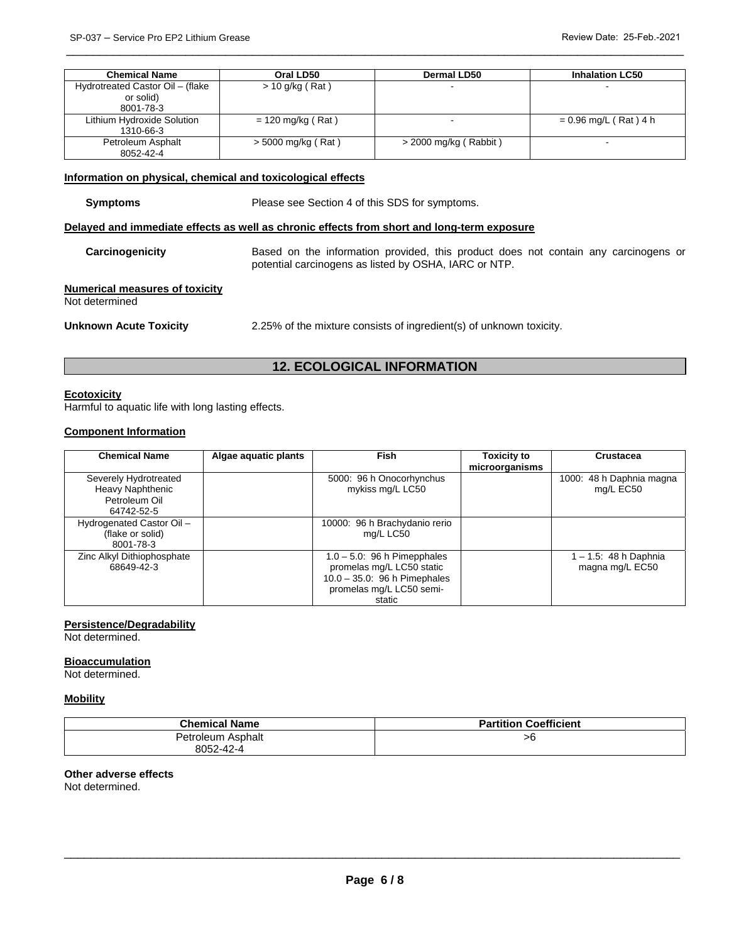| <b>Chemical Name</b>             | Oral LD50            | Dermal LD50             | <b>Inhalation LC50</b>  |
|----------------------------------|----------------------|-------------------------|-------------------------|
| Hydrotreated Castor Oil - (flake | $> 10$ g/kg (Rat)    |                         |                         |
| or solid)                        |                      |                         |                         |
| 8001-78-3                        |                      |                         |                         |
| Lithium Hydroxide Solution       | $= 120$ mg/kg (Rat)  |                         | $= 0.96$ mg/L (Rat) 4 h |
| 1310-66-3                        |                      |                         |                         |
| Petroleum Asphalt                | $>$ 5000 mg/kg (Rat) | $>$ 2000 mg/kg (Rabbit) |                         |
| 8052-42-4                        |                      |                         |                         |

\_\_\_\_\_\_\_\_\_\_\_\_\_\_\_\_\_\_\_\_\_\_\_\_\_\_\_\_\_\_\_\_\_\_\_\_\_\_\_\_\_\_\_\_\_\_\_\_\_\_\_\_\_\_\_\_\_\_\_\_\_\_\_\_\_\_\_\_\_\_\_\_\_\_\_\_\_\_\_\_\_\_\_\_\_\_\_\_\_\_\_\_\_

#### **Information on physical, chemical and toxicological effects**

**Symptoms Please see Section 4 of this SDS for symptoms.** 

#### **Delayed and immediate effects as well as chronic effects from short and long-term exposure**

 **Carcinogenicity** Based on the information provided, this product does not contain any carcinogens or potential carcinogens as listed by OSHA, IARC or NTP.

#### **Numerical measures of toxicity** Not determined

**Unknown Acute Toxicity** 2.25% of the mixture consists of ingredient(s) of unknown toxicity.

# **12. ECOLOGICAL INFORMATION**

#### **Ecotoxicity**

Harmful to aquatic life with long lasting effects.

### **Component Information**

| <b>Chemical Name</b>                                                     | Algae aquatic plants | Fish                                                                                                                                 | <b>Toxicity to</b><br>microorganisms | Crustacea                                   |
|--------------------------------------------------------------------------|----------------------|--------------------------------------------------------------------------------------------------------------------------------------|--------------------------------------|---------------------------------------------|
| Severely Hydrotreated<br>Heavy Naphthenic<br>Petroleum Oil<br>64742-52-5 |                      | 5000: 96 h Onocorhynchus<br>mykiss mg/L LC50                                                                                         |                                      | 1000: 48 h Daphnia magna<br>mg/L EC50       |
| Hydrogenated Castor Oil-<br>(flake or solid)<br>8001-78-3                |                      | 10000: 96 h Brachydanio rerio<br>mg/L LC50                                                                                           |                                      |                                             |
| Zinc Alkyl Dithiophosphate<br>68649-42-3                                 |                      | $1.0 - 5.0$ : 96 h Pimepphales<br>promelas mg/L LC50 static<br>$10.0 - 35.0$ : 96 h Pimephales<br>promelas mg/L LC50 semi-<br>static |                                      | $1 - 1.5$ : 48 h Daphnia<br>magna mg/L EC50 |

#### **Persistence/Degradability**

Not determined.

# **Bioaccumulation**

Not determined.

#### **Mobility**

| <b>Partition Coefficient</b> |
|------------------------------|
| >6                           |
|                              |

# **Other adverse effects**

Not determined.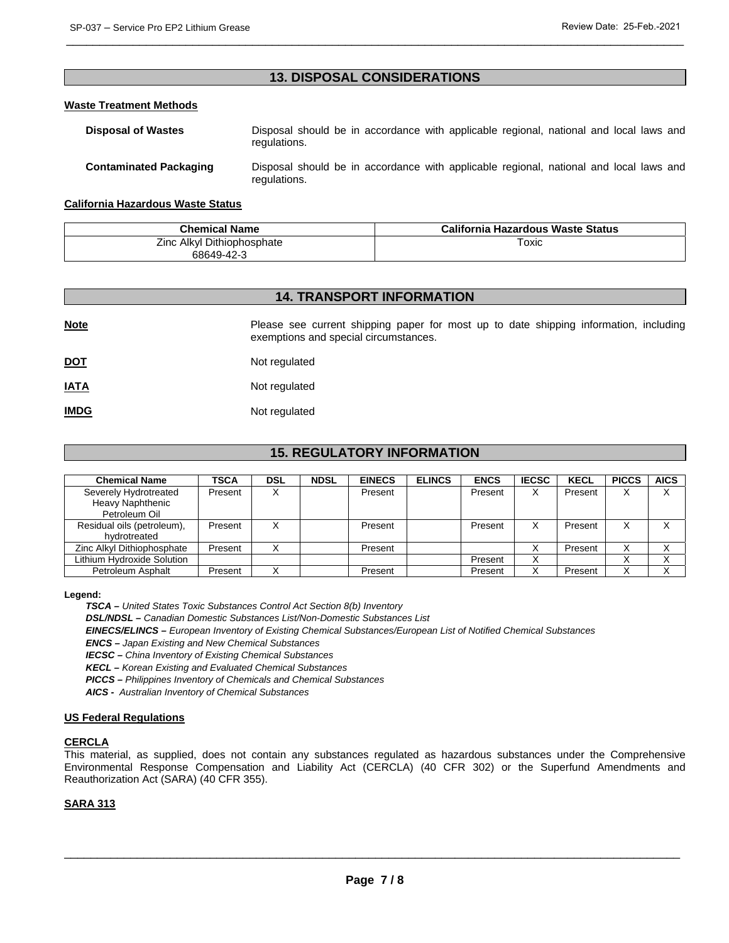# **13. DISPOSAL CONSIDERATIONS**

\_\_\_\_\_\_\_\_\_\_\_\_\_\_\_\_\_\_\_\_\_\_\_\_\_\_\_\_\_\_\_\_\_\_\_\_\_\_\_\_\_\_\_\_\_\_\_\_\_\_\_\_\_\_\_\_\_\_\_\_\_\_\_\_\_\_\_\_\_\_\_\_\_\_\_\_\_\_\_\_\_\_\_\_\_\_\_\_\_\_\_\_\_

### **Waste Treatment Methods**

| <b>Disposal of Wastes</b>     | Disposal should be in accordance with applicable regional, national and local laws and<br>regulations. |
|-------------------------------|--------------------------------------------------------------------------------------------------------|
| <b>Contaminated Packaging</b> | Disposal should be in accordance with applicable regional, national and local laws and<br>regulations. |

#### **California Hazardous Waste Status**

| <b>Chemical Name</b>       | California Hazardous Waste Status |
|----------------------------|-----------------------------------|
| Zinc Alkyl Dithiophosphate | Toxic                             |
| 68649-42-3                 |                                   |

# **14. TRANSPORT INFORMATION**

| <b>Note</b> | Please see current shipping paper for most up to date shipping information, including<br>exemptions and special circumstances. |
|-------------|--------------------------------------------------------------------------------------------------------------------------------|
| <u>DOT</u>  | Not regulated                                                                                                                  |
| <u>IATA</u> | Not regulated                                                                                                                  |
| <u>IMDG</u> | Not regulated                                                                                                                  |

# **15. REGULATORY INFORMATION**

| <b>Chemical Name</b>                                       | <b>TSCA</b> | DSL | <b>NDSL</b> | <b>EINECS</b> | <b>ELINCS</b> | <b>ENCS</b> | <b>IECSC</b> | <b>KECL</b> | <b>PICCS</b> | <b>AICS</b> |
|------------------------------------------------------------|-------------|-----|-------------|---------------|---------------|-------------|--------------|-------------|--------------|-------------|
| Severely Hydrotreated<br>Heavy Naphthenic<br>Petroleum Oil | Present     | ∧   |             | Present       |               | Present     | х            | Present     | X            | v<br>⋏      |
| Residual oils (petroleum),<br>hydrotreated                 | Present     | х   |             | Present       |               | Present     | х            | Present     |              |             |
| Zinc Alkyl Dithiophosphate                                 | Present     | ⌒   |             | Present       |               |             |              | Present     | x            | ∧           |
| Lithium Hydroxide Solution                                 |             |     |             |               |               | Present     | ⌒            |             | $\lambda$    | ∧           |
| Petroleum Asphalt                                          | Present     |     |             | Present       |               | Present     |              | Present     |              |             |

**Legend:**

*TSCA – United States Toxic Substances Control Act Section 8(b) Inventory*

*DSL/NDSL – Canadian Domestic Substances List/Non-Domestic Substances List* 

*EINECS/ELINCS – European Inventory of Existing Chemical Substances/European List of Notified Chemical Substances* 

*ENCS – Japan Existing and New Chemical Substances* 

*IECSC – China Inventory of Existing Chemical Substances* 

*KECL – Korean Existing and Evaluated Chemical Substances* 

*PICCS – Philippines Inventory of Chemicals and Chemical Substances* 

*AICS - Australian Inventory of Chemical Substances* 

#### **US Federal Regulations**

#### **CERCLA**

This material, as supplied, does not contain any substances regulated as hazardous substances under the Comprehensive Environmental Response Compensation and Liability Act (CERCLA) (40 CFR 302) or the Superfund Amendments and Reauthorization Act (SARA) (40 CFR 355).

#### **SARA 313**